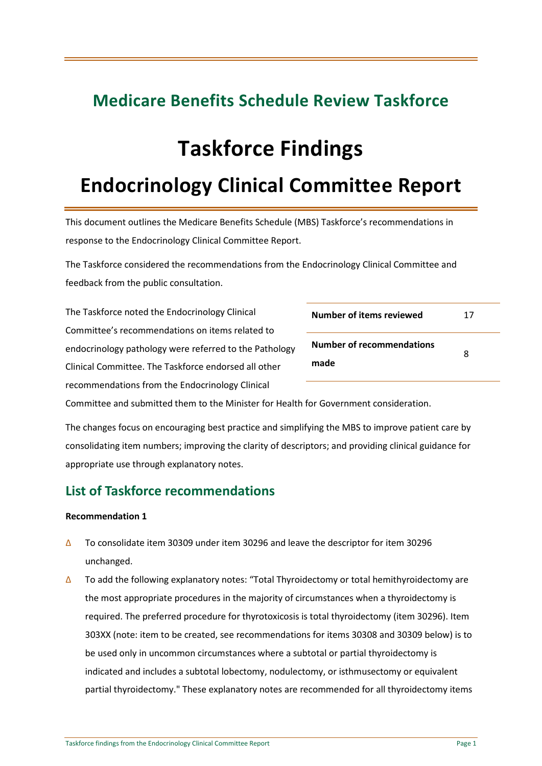### **Medicare Benefits Schedule Review Taskforce**

# **Taskforce Findings**

## **Endocrinology Clinical Committee Report**

This document outlines the Medicare Benefits Schedule (MBS) Taskforce's recommendations in response to the Endocrinology Clinical Committee Report.

The Taskforce considered the recommendations from the Endocrinology Clinical Committee and feedback from the public consultation.

The Taskforce noted the Endocrinology Clinical Committee's recommendations on items related to endocrinology pathology were referred to the Pathology Clinical Committee. The Taskforce endorsed all other recommendations from the Endocrinology Clinical

| Number of items reviewed                 | 17 |
|------------------------------------------|----|
| <b>Number of recommendations</b><br>made | я  |

Committee and submitted them to the Minister for Health for Government consideration.

The changes focus on encouraging best practice and simplifying the MBS to improve patient care by consolidating item numbers; improving the clarity of descriptors; and providing clinical guidance for appropriate use through explanatory notes.

### **List of Taskforce recommendations**

- ∆ To consolidate item 30309 under item 30296 and leave the descriptor for item 30296 unchanged.
- ∆ To add the following explanatory notes: "Total Thyroidectomy or total hemithyroidectomy are the most appropriate procedures in the majority of circumstances when a thyroidectomy is required. The preferred procedure for thyrotoxicosis is total thyroidectomy (item 30296). Item 303XX (note: item to be created, see recommendations for items 30308 and 30309 below) is to be used only in uncommon circumstances where a subtotal or partial thyroidectomy is indicated and includes a subtotal lobectomy, nodulectomy, or isthmusectomy or equivalent partial thyroidectomy." These explanatory notes are recommended for all thyroidectomy items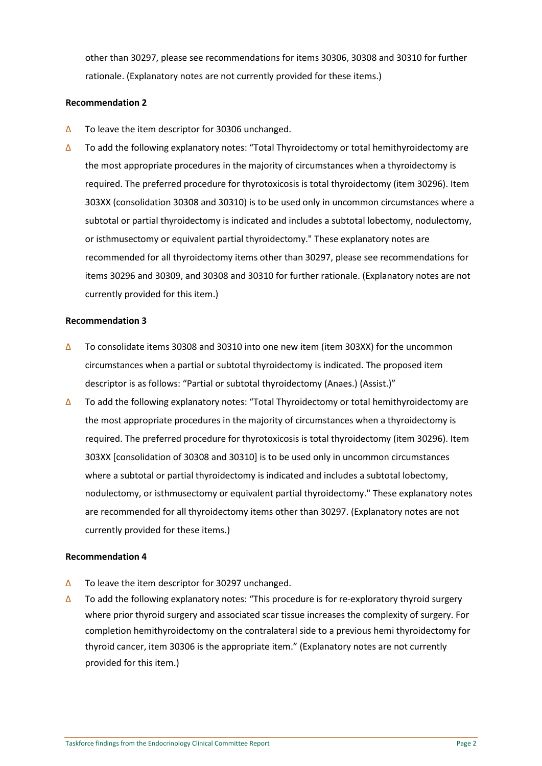other than 30297, please see recommendations for items 30306, 30308 and 30310 for further rationale. (Explanatory notes are not currently provided for these items.)

#### **Recommendation 2**

- ∆ To leave the item descriptor for 30306 unchanged.
- ∆ To add the following explanatory notes: "Total Thyroidectomy or total hemithyroidectomy are the most appropriate procedures in the majority of circumstances when a thyroidectomy is required. The preferred procedure for thyrotoxicosis is total thyroidectomy (item 30296). Item 303XX (consolidation 30308 and 30310) is to be used only in uncommon circumstances where a subtotal or partial thyroidectomy is indicated and includes a subtotal lobectomy, nodulectomy, or isthmusectomy or equivalent partial thyroidectomy." These explanatory notes are recommended for all thyroidectomy items other than 30297, please see recommendations for items 30296 and 30309, and 30308 and 30310 for further rationale. (Explanatory notes are not currently provided for this item.)

#### **Recommendation 3**

- ∆ To consolidate items 30308 and 30310 into one new item (item 303XX) for the uncommon circumstances when a partial or subtotal thyroidectomy is indicated. The proposed item descriptor is as follows: "Partial or subtotal thyroidectomy (Anaes.) (Assist.)"
- ∆ To add the following explanatory notes: "Total Thyroidectomy or total hemithyroidectomy are the most appropriate procedures in the majority of circumstances when a thyroidectomy is required. The preferred procedure for thyrotoxicosis is total thyroidectomy (item 30296). Item 303XX [consolidation of 30308 and 30310] is to be used only in uncommon circumstances where a subtotal or partial thyroidectomy is indicated and includes a subtotal lobectomy, nodulectomy, or isthmusectomy or equivalent partial thyroidectomy." These explanatory notes are recommended for all thyroidectomy items other than 30297. (Explanatory notes are not currently provided for these items.)

- ∆ To leave the item descriptor for 30297 unchanged.
- ∆ To add the following explanatory notes: "This procedure is for re-exploratory thyroid surgery where prior thyroid surgery and associated scar tissue increases the complexity of surgery. For completion hemithyroidectomy on the contralateral side to a previous hemi thyroidectomy for thyroid cancer, item 30306 is the appropriate item." (Explanatory notes are not currently provided for this item.)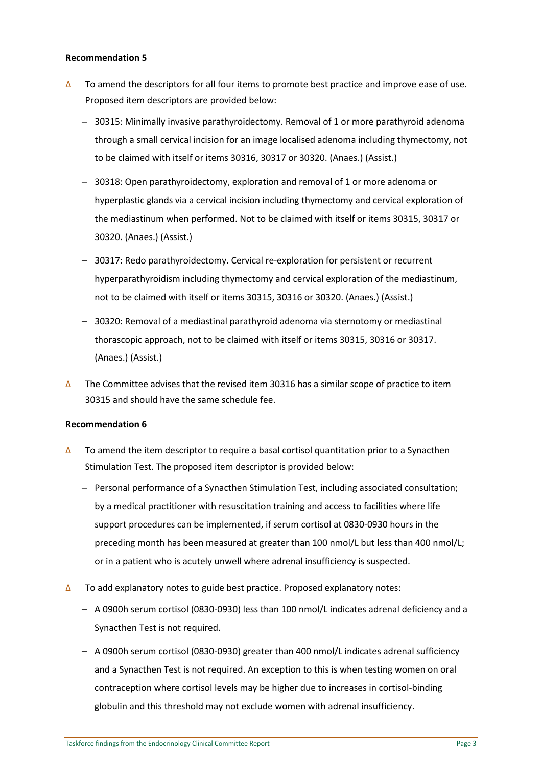#### **Recommendation 5**

- ∆ To amend the descriptors for all four items to promote best practice and improve ease of use. Proposed item descriptors are provided below:
	- ‒ 30315: Minimally invasive parathyroidectomy. Removal of 1 or more parathyroid adenoma through a small cervical incision for an image localised adenoma including thymectomy, not to be claimed with itself or items 30316, 30317 or 30320. (Anaes.) (Assist.)
	- ‒ 30318: Open parathyroidectomy, exploration and removal of 1 or more adenoma or hyperplastic glands via a cervical incision including thymectomy and cervical exploration of the mediastinum when performed. Not to be claimed with itself or items 30315, 30317 or 30320. (Anaes.) (Assist.)
	- ‒ 30317: Redo parathyroidectomy. Cervical re-exploration for persistent or recurrent hyperparathyroidism including thymectomy and cervical exploration of the mediastinum, not to be claimed with itself or items 30315, 30316 or 30320. (Anaes.) (Assist.)
	- ‒ 30320: Removal of a mediastinal parathyroid adenoma via sternotomy or mediastinal thorascopic approach, not to be claimed with itself or items 30315, 30316 or 30317. (Anaes.) (Assist.)
- ∆ The Committee advises that the revised item 30316 has a similar scope of practice to item 30315 and should have the same schedule fee.

- ∆ To amend the item descriptor to require a basal cortisol quantitation prior to a Synacthen Stimulation Test. The proposed item descriptor is provided below:
	- ‒ Personal performance of a Synacthen Stimulation Test, including associated consultation; by a medical practitioner with resuscitation training and access to facilities where life support procedures can be implemented, if serum cortisol at 0830-0930 hours in the preceding month has been measured at greater than 100 nmol/L but less than 400 nmol/L; or in a patient who is acutely unwell where adrenal insufficiency is suspected.
- ∆ To add explanatory notes to guide best practice. Proposed explanatory notes:
	- ‒ A 0900h serum cortisol (0830-0930) less than 100 nmol/L indicates adrenal deficiency and a Synacthen Test is not required.
	- ‒ A 0900h serum cortisol (0830-0930) greater than 400 nmol/L indicates adrenal sufficiency and a Synacthen Test is not required. An exception to this is when testing women on oral contraception where cortisol levels may be higher due to increases in cortisol-binding globulin and this threshold may not exclude women with adrenal insufficiency.